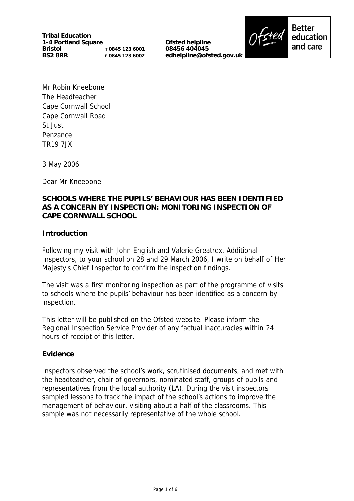**Tribal Education 1-4 Portland Square Bristol BS2 8RR T 0845 123 6001 F 0845 123 6002**

**Ofsted helpline 08456 404045 edhelpline@ofsted.gov.uk**



**Better** education and care

Mr Robin Kneebone The Headteacher Cape Cornwall School Cape Cornwall Road St Just Penzance TR19 7JX

3 May 2006

Dear Mr Kneebone

### **SCHOOLS WHERE THE PUPILS' BEHAVIOUR HAS BEEN IDENTIFIED AS A CONCERN BY INSPECTION: MONITORING INSPECTION OF CAPE CORNWALL SCHOOL**

### **Introduction**

Following my visit with John English and Valerie Greatrex, Additional Inspectors, to your school on 28 and 29 March 2006, I write on behalf of Her Majesty's Chief Inspector to confirm the inspection findings.

The visit was a first monitoring inspection as part of the programme of visits to schools where the pupils' behaviour has been identified as a concern by inspection.

This letter will be published on the Ofsted website. Please inform the Regional Inspection Service Provider of any factual inaccuracies within 24 hours of receipt of this letter.

### **Evidence**

Inspectors observed the school's work, scrutinised documents, and met with the headteacher, chair of governors, nominated staff, groups of pupils and representatives from the local authority (LA). During the visit inspectors sampled lessons to track the impact of the school's actions to improve the management of behaviour, visiting about a half of the classrooms. This sample was not necessarily representative of the whole school.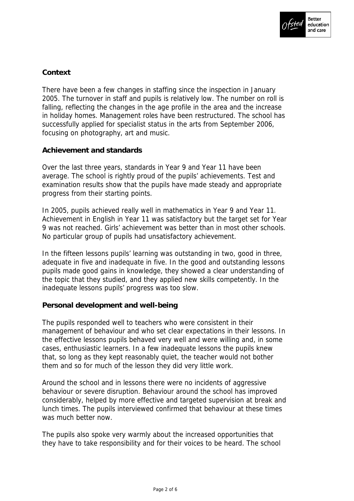

## **Context**

There have been a few changes in staffing since the inspection in January 2005. The turnover in staff and pupils is relatively low. The number on roll is falling, reflecting the changes in the age profile in the area and the increase in holiday homes. Management roles have been restructured. The school has successfully applied for specialist status in the arts from September 2006, focusing on photography, art and music.

### **Achievement and standards**

Over the last three years, standards in Year 9 and Year 11 have been average. The school is rightly proud of the pupils' achievements. Test and examination results show that the pupils have made steady and appropriate progress from their starting points.

In 2005, pupils achieved really well in mathematics in Year 9 and Year 11. Achievement in English in Year 11 was satisfactory but the target set for Year 9 was not reached. Girls' achievement was better than in most other schools. No particular group of pupils had unsatisfactory achievement.

In the fifteen lessons pupils' learning was outstanding in two, good in three, adequate in five and inadequate in five. In the good and outstanding lessons pupils made good gains in knowledge, they showed a clear understanding of the topic that they studied, and they applied new skills competently. In the inadequate lessons pupils' progress was too slow.

### **Personal development and well-being**

The pupils responded well to teachers who were consistent in their management of behaviour and who set clear expectations in their lessons. In the effective lessons pupils behaved very well and were willing and, in some cases, enthusiastic learners. In a few inadequate lessons the pupils knew that, so long as they kept reasonably quiet, the teacher would not bother them and so for much of the lesson they did very little work.

Around the school and in lessons there were no incidents of aggressive behaviour or severe disruption. Behaviour around the school has improved considerably, helped by more effective and targeted supervision at break and lunch times. The pupils interviewed confirmed that behaviour at these times was much better now.

The pupils also spoke very warmly about the increased opportunities that they have to take responsibility and for their voices to be heard. The school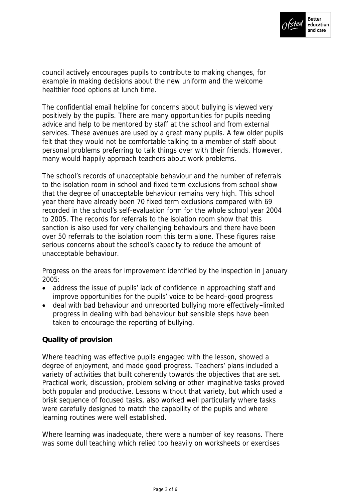

council actively encourages pupils to contribute to making changes, for example in making decisions about the new uniform and the welcome healthier food options at lunch time.

The confidential email helpline for concerns about bullying is viewed very positively by the pupils. There are many opportunities for pupils needing advice and help to be mentored by staff at the school and from external services. These avenues are used by a great many pupils. A few older pupils felt that they would not be comfortable talking to a member of staff about personal problems preferring to talk things over with their friends. However, many would happily approach teachers about work problems.

The school's records of unacceptable behaviour and the number of referrals to the isolation room in school and fixed term exclusions from school show that the degree of unacceptable behaviour remains very high. This school year there have already been 70 fixed term exclusions compared with 69 recorded in the school's self-evaluation form for the whole school year 2004 to 2005. The records for referrals to the isolation room show that this sanction is also used for very challenging behaviours and there have been over 50 referrals to the isolation room this term alone. These figures raise serious concerns about the school's capacity to reduce the amount of unacceptable behaviour.

Progress on the areas for improvement identified by the inspection in January 2005:

- address the issue of pupils' lack of confidence in approaching staff and improve opportunities for the pupils' voice to be heard–good progress
- deal with bad behaviour and unreported bullying more effectively**–**limited progress in dealing with bad behaviour but sensible steps have been taken to encourage the reporting of bullying.

# **Quality of provision**

Where teaching was effective pupils engaged with the lesson, showed a degree of enjoyment, and made good progress. Teachers' plans included a variety of activities that built coherently towards the objectives that are set. Practical work, discussion, problem solving or other imaginative tasks proved both popular and productive. Lessons without that variety, but which used a brisk sequence of focused tasks, also worked well particularly where tasks were carefully designed to match the capability of the pupils and where learning routines were well established.

Where learning was inadequate, there were a number of key reasons. There was some dull teaching which relied too heavily on worksheets or exercises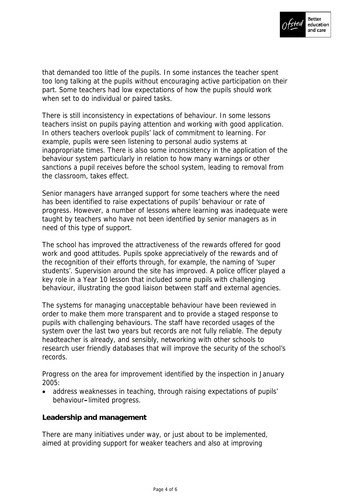

that demanded too little of the pupils. In some instances the teacher spent too long talking at the pupils without encouraging active participation on their part. Some teachers had low expectations of how the pupils should work when set to do individual or paired tasks.

There is still inconsistency in expectations of behaviour. In some lessons teachers insist on pupils paying attention and working with good application. In others teachers overlook pupils' lack of commitment to learning. For example, pupils were seen listening to personal audio systems at inappropriate times. There is also some inconsistency in the application of the behaviour system particularly in relation to how many warnings or other sanctions a pupil receives before the school system, leading to removal from the classroom, takes effect.

Senior managers have arranged support for some teachers where the need has been identified to raise expectations of pupils' behaviour or rate of progress. However, a number of lessons where learning was inadequate were taught by teachers who have not been identified by senior managers as in need of this type of support.

The school has improved the attractiveness of the rewards offered for good work and good attitudes. Pupils spoke appreciatively of the rewards and of the recognition of their efforts through, for example, the naming of 'super students'. Supervision around the site has improved. A police officer played a key role in a Year 10 lesson that included some pupils with challenging behaviour, illustrating the good liaison between staff and external agencies.

The systems for managing unacceptable behaviour have been reviewed in order to make them more transparent and to provide a staged response to pupils with challenging behaviours. The staff have recorded usages of the system over the last two years but records are not fully reliable. The deputy headteacher is already, and sensibly, networking with other schools to research user friendly databases that will improve the security of the school's records.

Progress on the area for improvement identified by the inspection in January 2005:

• address weaknesses in teaching, through raising expectations of pupils' behaviour**–**limited progress.

### **Leadership and management**

There are many initiatives under way, or just about to be implemented, aimed at providing support for weaker teachers and also at improving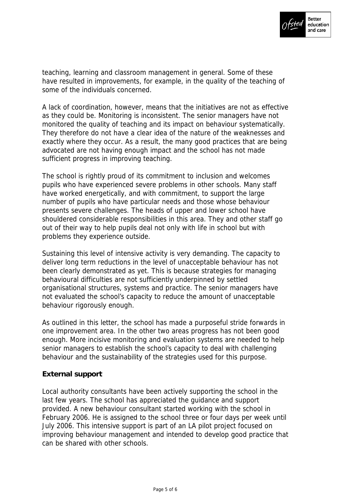

teaching, learning and classroom management in general. Some of these have resulted in improvements, for example, in the quality of the teaching of some of the individuals concerned.

A lack of coordination, however, means that the initiatives are not as effective as they could be. Monitoring is inconsistent. The senior managers have not monitored the quality of teaching and its impact on behaviour systematically. They therefore do not have a clear idea of the nature of the weaknesses and exactly where they occur. As a result, the many good practices that are being advocated are not having enough impact and the school has not made sufficient progress in improving teaching.

The school is rightly proud of its commitment to inclusion and welcomes pupils who have experienced severe problems in other schools. Many staff have worked energetically, and with commitment, to support the large number of pupils who have particular needs and those whose behaviour presents severe challenges. The heads of upper and lower school have shouldered considerable responsibilities in this area. They and other staff go out of their way to help pupils deal not only with life in school but with problems they experience outside.

Sustaining this level of intensive activity is very demanding. The capacity to deliver long term reductions in the level of unacceptable behaviour has not been clearly demonstrated as yet. This is because strategies for managing behavioural difficulties are not sufficiently underpinned by settled organisational structures, systems and practice. The senior managers have not evaluated the school's capacity to reduce the amount of unacceptable behaviour rigorously enough.

As outlined in this letter, the school has made a purposeful stride forwards in one improvement area. In the other two areas progress has not been good enough. More incisive monitoring and evaluation systems are needed to help senior managers to establish the school's capacity to deal with challenging behaviour and the sustainability of the strategies used for this purpose.

### **External support**

Local authority consultants have been actively supporting the school in the last few years. The school has appreciated the guidance and support provided. A new behaviour consultant started working with the school in February 2006. He is assigned to the school three or four days per week until July 2006. This intensive support is part of an LA pilot project focused on improving behaviour management and intended to develop good practice that can be shared with other schools.